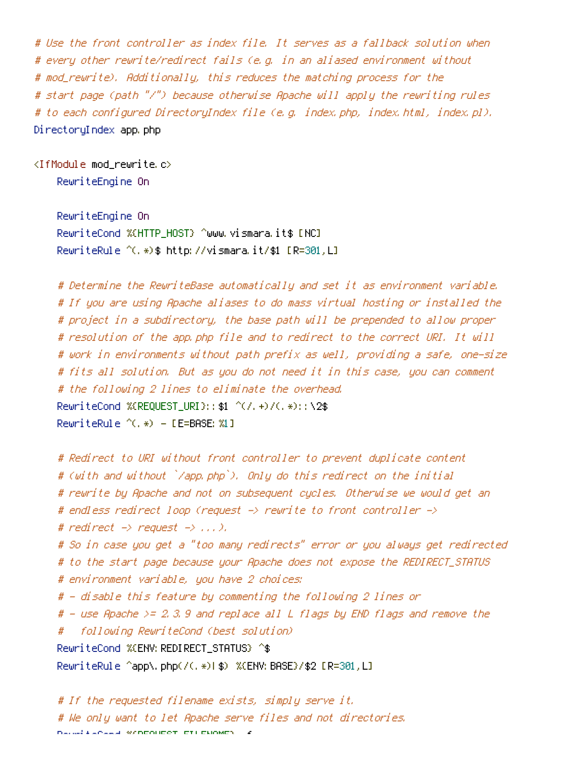# Use the front controller as index file. It serves as <sup>a</sup> fallback solution when # every other rewrite/redirect fails (e.g. in an aliased environment without # mod\_rewrite). Additionally, this reduces the matching process for the # start page (path "/") because otherwise Apache will apply the rewriting rules # to each configured DirectoryIndex file (e.g. index.php, index.html, index.pl). DirectoryIndex app.php

<IfModule mod\_rewrite.c>

RewriteEngine On

RewriteEngine On RewriteCond %{HTTP\_HOST} ^www.vismara.it\$ [NC] RewriteRule ^(.\*)\$ http://vismara.it/\$1 [R=301,L]

# Determine the RewriteBase automatically and set it as environment variable. # If you are using Apache aliases to do mass virtual hosting or installed the # project in <sup>a</sup> subdirectory, the base path will be prepended to allow proper # resolution of the app.php file and to redirect to the correct URI. It will # work in environments without path prefix as well, providing <sup>a</sup> safe, one-size # fits all solution. But as you do not need it in this case, you can comment # the following 2 lines to eliminate the overhead. RewriteCond %{REQUEST\_URI}::\$1 ^(/.+)/(.\*)::\2\$ RewriteRule ^(.\*) - [E=BASE:%1]

```
# Redirect to URI without front controller to prevent duplicate content
# (with and without `/app.php`). Only do this redirect on the initial
# rewrite by Apache and not on subsequent cycles. Otherwise we would get an
# endless redirect loop (request -> rewrite to front controller ->
# redirect \rightarrow request \rightarrow \dots \rightarrow.
# So in case you get a "too many redirects" error or you always get redirected
# to the start page because your Apache does not expose the REDIRECT_STATUS
# environment variable, you have 2 choices:
# - disable this feature by commenting the following 2 lines or
# - use Apache >= 2.3.9 and replace all L flags by END flags and remove the
# following RewriteCond (best solution)
RewriteCond %{ENV:REDIRECT_STATUS} ^$
RewriteRule ^app\.php(/(.*)|$) %{ENV:BASE}/$2 [R=301,L]
```
# If the requested filename exists, simply serve it. # We only want to let Apache serve files and not directories. Reward (2004) %{REQUEST\_FILENAME}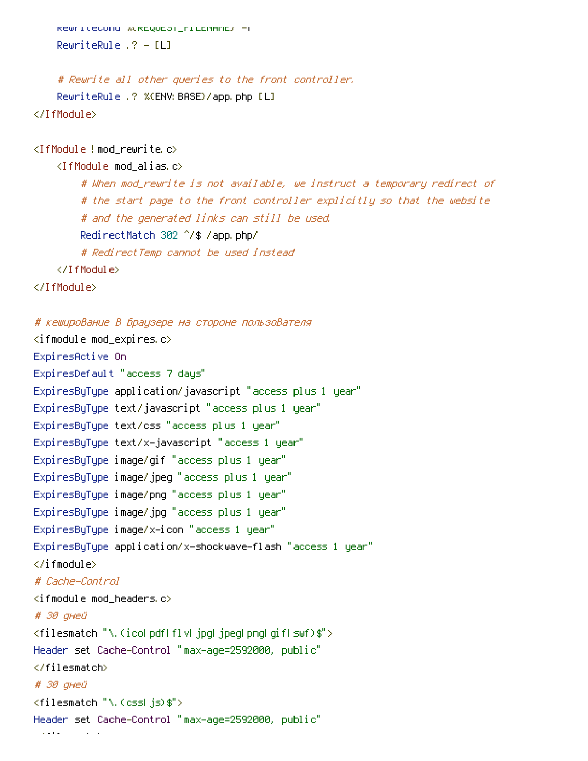```
RewriteCond %{REQUEST_FILENAME} -f
    RewriteRule .? - [L]
    # Rewrite all other queries to the front controller.
    RewriteRule .? %{ENV: BASE}/app.php [L]
</IfModule>
<IfModule !mod_rewrite.c>
    <IfModule mod_alias.c>
        # When mod_rewrite is not available, we instruct a temporary redirect of
        # the start page to the front controller explicitly so that the website
        # and the generated links can still be used.
        RedirectMatch 302 ^/$ /app.php/
        # RedirectTemp cannot be used instead
    </IfModule>
</IfModule>
# кеширование в браузере на стороне пользователя
\langleifmodule mod expires.c\rangleExpiresActive On
ExpiresDefault "access 7 days"
ExpiresByType application/javascript "access plus 1 year"
ExpiresByType text/javascript "access plus 1 year"
ExpiresByType text/css "access plus 1 year"
ExpiresByType text/x-javascript "access 1 year"
ExpiresByType image/gif "access plus 1 year"
ExpiresByType image/jpeg "access plus 1 year"
ExpiresByType image/png "access plus 1 year"
ExpiresByType image/jpg "access plus 1 year"
ExpiresByType image/x-icon "access 1 year"
ExpiresByType application/x-shockwave-flash "access 1 year"
\langle/ifmodule\rangle# Cache-Control
\langleifmodule mod headers.c\rangle# 30 дней
```

```
<filesmatch "\.(ico|pdf|flv|jpg|jpeg|png|gif|swf)$">
```

```
Header set Cache-Control "max-age=2592000, public"
```

```
</filesmatch>
```

```
# 30 дней
```

```
<filesmatch "\.(css|js)$">
```

```
Header set Cache-Control "max-age=2592000, public"
```